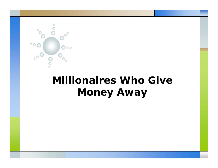

# *Millionaires Who Give Money Away*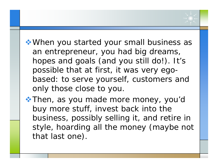When you started your small business as an entrepreneur, you had big dreams, hopes and goals (and you still do!). It's possible that at first, it was very egobased: to serve yourself, customers and only those close to you.

\* Then, as you made more money, you'd buy more stuff, invest back into the business, possibly selling it, and retire in style, hoarding all the money (maybe not that last one).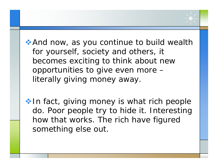And now, as you continue to build wealth for yourself, society and others, it becomes exciting to think about new opportunities to give even more  $$ literally giving money away.

 $\cdot$  In fact, giving money is what rich people do. Poor people try to hide it. Interesting how that works. The rich have figured something else out.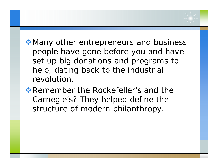- Many other entrepreneurs and business people have gone before you and have set up big donations and programs to help, dating back to the industrial revolution.
- \* Remember the Rockefeller's and the Carnegie's? They helped define the structure of modern philanthropy.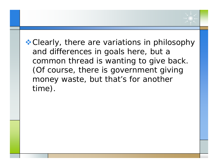**\*** Clearly, there are variations in philosophy and differences in goals here, but a common thread is wanting to give back. (Of course, there is government giving money waste, but that's for another time).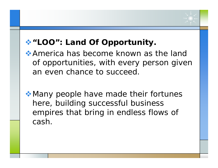## **"LOO": Land Of Opportunity.**

- America has become known as the land of opportunities, with every person given an even chance to succeed.
- Many people have made their fortunes here, building successful business empires that bring in endless flows of cash.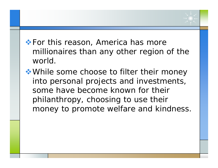### **\* For this reason, America has more** millionaires than any other region of the world.

◆ While some choose to filter their money into personal projects and investments, some have become known for their philanthropy, choosing to use their money to promote welfare and kindness.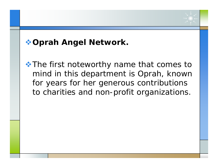### **Oprah Angel Network.**

**★ The first noteworthy name that comes to** mind in this department is Oprah, known for years for her generous contributions to charities and non-profit organizations.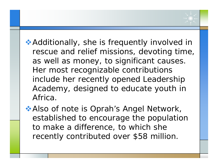◆ Additionally, she is frequently involved in rescue and relief missions, devoting time, as well as money, to significant causes. Her most recognizable contributions include her recently opened Leadership Academy, designed to educate youth in Africa.

Also of note is Oprah's Angel Network, established to encourage the population to make a difference, to which she recently contributed over \$58 million.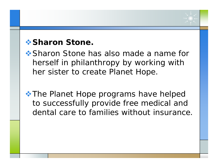#### *<b>❖ Sharon Stone.*

**❖ Sharon Stone has also made a name for** herself in philanthropy by working with her sister to create Planet Hope.

**★ The Planet Hope programs have helped** to successfully provide free medical and dental care to families without insurance.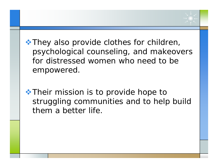$\cdot$  They also provide clothes for children, psychological counseling, and makeovers for distressed women who need to be empowered.

**★ Their mission is to provide hope to** struggling communities and to help build them a better life.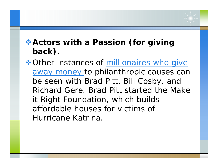## **Actors with a Passion (for giving back).**

**❖ [Other instances of millionaires who give](http://www.jonrognerud.com)** away money to philanthropic causes can be seen with Brad Pitt, Bill Cosby, and Richard Gere. Brad Pitt started the Make it Right Foundation, which builds affordable houses for victims of Hurricane Katrina.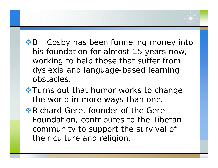- **◆ Bill Cosby has been funneling money into** his foundation for almost 15 years now, working to help those that suffer from dy slexia and language-based learning obstacles.
- **\*Turns out that humor works to change** the world in more ways than one.
- **\* Richard Gere, founder of the Gere** Foundation, contributes to the Tibetan community to support the survival of their culture and religion.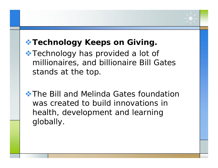## **\* Technology Keeps on Giving.**

**★ Technology has provided a lot of** millionaires, and billionaire Bill Gates stands at the top.

 $\triangle$  **The Bill and Melinda Gates foundation** was created to build innovations in health, development and learning globally.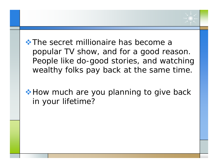$\cdot$  **The secret millionaire has become a** popular TV show, and for a good reason. People like do-good stories, and watching wealthy folks pay back at the same time.

**★ How much are you planning to give back** in your lifetime?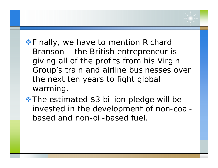- **Einally, we have to mention Richard** Branson – the British entrepreneur is giving all of the profits from his Virgin Group's train and airline businesses over the next ten years to fight global warming.
- **★ The estimated \$3 billion pledge will be** invested in the development of non-coalbased and non-oil-based fuel.